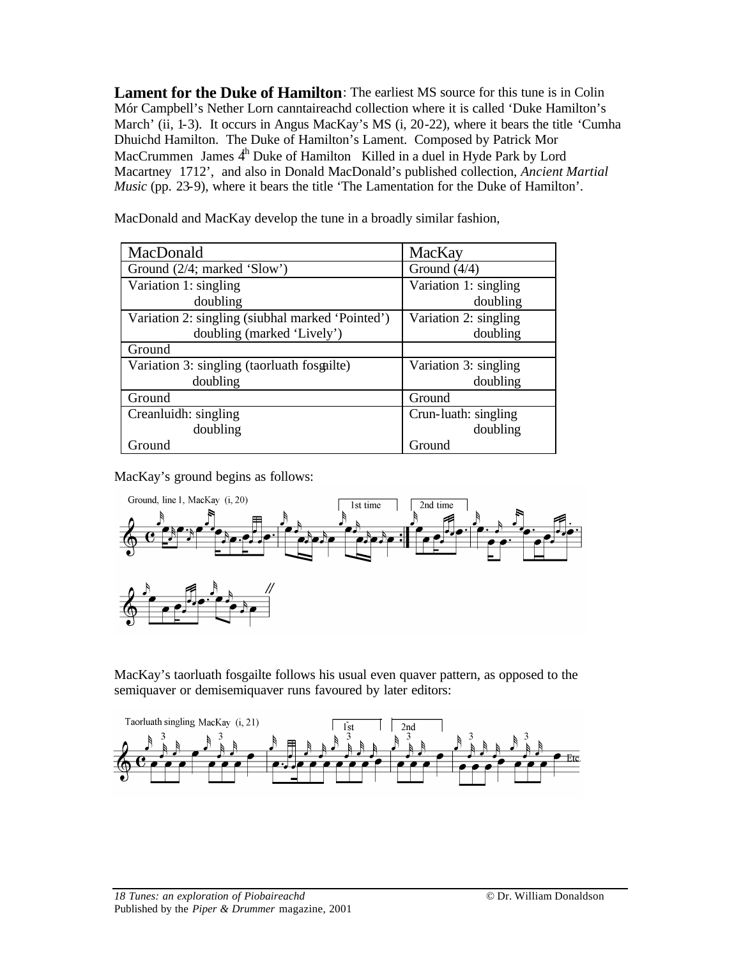**Lament for the Duke of Hamilton:** The earliest MS source for this tune is in Colin Mór Campbell's Nether Lorn canntaireachd collection where it is called 'Duke Hamilton's March' (ii, 1-3). It occurs in Angus MacKay's MS (i, 20-22), where it bears the title 'Cumha Dhuichd Hamilton. The Duke of Hamilton's Lament. Composed by Patrick Mor MacCrummen James  $4<sup>h</sup>$  Duke of Hamilton Killed in a duel in Hyde Park by Lord Macartney 1712', and also in Donald MacDonald's published collection, *Ancient Martial Music* (pp. 23-9), where it bears the title 'The Lamentation for the Duke of Hamilton'.

| MacDonald                                        | MacKay                |
|--------------------------------------------------|-----------------------|
| Ground (2/4; marked 'Slow')                      | Ground $(4/4)$        |
| Variation 1: singling                            | Variation 1: singling |
| doubling                                         | doubling              |
| Variation 2: singling (siubhal marked 'Pointed') | Variation 2: singling |
| doubling (marked 'Lively')                       | doubling              |
| Ground                                           |                       |
| Variation 3: singling (taorluath fosgailte)      | Variation 3: singling |
| doubling                                         | doubling              |
| Ground                                           | Ground                |
| Creanluidh: singling                             | Crun-luath: singling  |
| doubling                                         | doubling              |
| Ground                                           | Ground                |

MacDonald and MacKay develop the tune in a broadly similar fashion,

MacKay's ground begins as follows:



MacKay's taorluath fosgailte follows his usual even quaver pattern, as opposed to the semiquaver or demisemiquaver runs favoured by later editors: